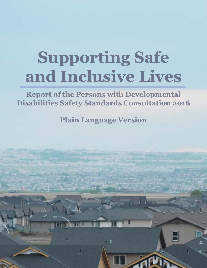# **Supporting Safe and Inclusive Lives**

**Report of the Persons with Developmental Disabilities Safety Standards Consultation 2016**

**Plain Language Version**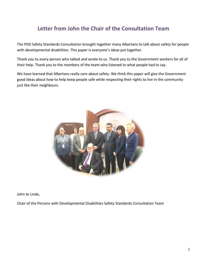# **Letter from John the Chair of the Consultation Team**

The PDD Safety Standards Consultation brought together many Albertans to talk about safety for people with developmental disabilities. This paper is everyone's ideas put together.

Thank you to every person who talked and wrote to us. Thank you to the Government workers for all of their help. Thank you to the members of the team who listened to what people had to say.

We have learned that Albertans really care about safety. We think this paper will give the Government good ideas about how to help keep people safe while respecting their rights to live in the community just like their neighbours.



John te Linde,

Chair of the Persons with Developmental Disabilities Safety Standards Consultation Team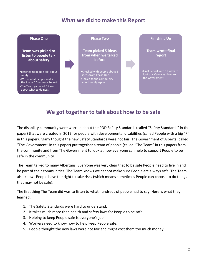# **What we did to make this Report**



## **We got together to talk about how to be safe**

The disability community were worried about the PDD Safety Standards (called "Safety Standards" in the paper) that were created in 2012 for people with developmental disabilities (called People with a big "P" in this paper). Many thought the new Safety Standards were not fair. The Government of Alberta (called "The Government" in this paper) put together a team of people (called "The Team" in this paper) from the community and from The Government to look at how everyone can help to support People to be safe in the community.

The Team talked to many Albertans. Everyone was very clear that to be safe People need to live in and be part of their communities. The Team knows we cannot make sure People are always safe. The Team also knows People have the right to take risks (which means sometimes People can choose to do things that may not be safe).

The first thing The Team did was to listen to what hundreds of people had to say. Here is what they learned:

- 1. The Safety Standards were hard to understand.
- 2. It takes much more than health and safety laws for People to be safe.
- 3. Helping to keep People safe is everyone's job.
- 4. Workers need to know how to help keep People safe.
- 5. People thought the new laws were not fair and might cost them too much money.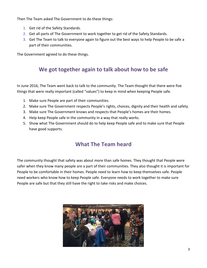Then The Team asked The Government to do these things:

- 1. Get rid of the Safety Standards.
- 2. Get all parts of The Government to work together to get rid of the Safety Standards.
- 3. Get The Team to talk to everyone again to figure out the best ways to help People to be safe a part of their communities.

The Government agreed to do these things.

# **We got together again to talk about how to be safe**

In June 2016, The Team went back to talk to the community. The Team thought that there were five things that were really important (called "values") to keep in mind when keeping People safe.

- 1. Make sure People are part of their communities.
- 2. Make sure The Government respects People's rights, choices, dignity and their health and safety.
- 3. Make sure The Government knows and respects that People's homes are their homes.
- 4. Help keep People safe in the community in a way that really works.
- 5. Show what The Government should do to help keep People safe and to make sure that People have good supports.

## **What The Team heard**

The community thought that safety was about more than safe homes. They thought that People were safer when they know many people are a part of their communities. They also thought it is important for People to be comfortable in their homes. People need to learn how to keep themselves safe. People need workers who know how to keep People safe. Everyone needs to work together to make sure People are safe but that they still have the right to take risks and make choices.

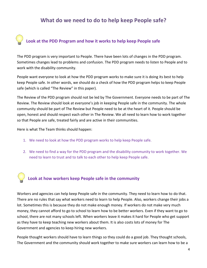## **What do we need to do to help keep People safe?**

# **Look at the PDD Program and how it works to help keep People safe**

The PDD program is very important to People. There have been lots of changes in the PDD program. Sometimes changes lead to problems and confusion. The PDD program needs to listen to People and to work with the disability community.

People want everyone to look at how the PDD program works to make sure it is doing its best to help keep People safe. In other words, we should do a check of how the PDD program helps to keep People safe (which is called "The Review" in this paper).

The Review of the PDD program should not be led by The Government. Everyone needs to be part of The Review. The Review should look at everyone's job in keeping People safe in the community. The whole community should be part of The Review but People need to be at the heart of it. People should be open, honest and should respect each other in The Review. We all need to learn how to work together so that People are safe, treated fairly and are active in their communities.

Here is what The Team thinks should happen:

- 1. We need to look at how the PDD program works to help keep People safe.
- 2. We need to find a way for the PDD program and the disability community to work together. We need to learn to trust and to talk to each other to help keep People safe.

## **Look at how workers keep People safe in the community**

Workers and agencies can help keep People safe in the community. They need to learn how to do that. There are no rules that say what workers need to learn to help People. Also, workers change their jobs a lot. Sometimes this is because they do not make enough money. If workers do not make very much money, they cannot afford to go to school to learn how to be better workers. Even if they want to go to school, there are not many schools left. When workers leave it makes it hard for People who get support as they have to keep teaching new workers about them. It is also costs lots of money for The Government and agencies to keep hiring new workers.

People thought workers should have to learn things so they could do a good job. They thought schools, The Government and the community should work together to make sure workers can learn how to be a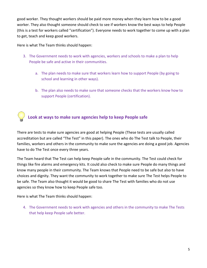good worker. They thought workers should be paid more money when they learn how to be a good worker. They also thought someone should check to see if workers know the best ways to help People (this is a test for workers called "certification"). Everyone needs to work together to come up with a plan to get, teach and keep good workers.

#### Here is what The Team thinks should happen:

- 3. The Government needs to work with agencies, workers and schools to make a plan to help People be safe and active in their communities.
	- a. The plan needs to make sure that workers learn how to support People (by going to school and learning in other ways).
	- b. The plan also needs to make sure that someone checks that the workers know how to support People (certification).

## **Look at ways to make sure agencies help to keep People safe**

There are tests to make sure agencies are good at helping People (These tests are usually called accreditation but are called "The Test" in this paper). The ones who do The Test talk to People, their families, workers and others in the community to make sure the agencies are doing a good job. Agencies have to do The Test once every three years.

The Team heard that The Test can help keep People safe in the community. The Test could check for things like fire alarms and emergency kits. It could also check to make sure People do many things and know many people in their community. The Team knows that People need to be safe but also to have choices and dignity. They want the community to work together to make sure The Test helps People to be safe. The Team also thought it would be good to share The Test with families who do not use agencies so they know how to keep People safe too.

Here is what The Team thinks should happen:

4. The Government needs to work with agencies and others in the community to make The Tests that help keep People safe better.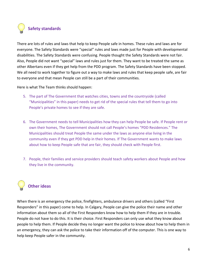## **Safety standards**

There are lots of rules and laws that help to keep People safe in homes. These rules and laws are for everyone. The Safety Standards were "special" rules and laws made just for People with developmental disabilities. The Safety Standards were confusing. People thought the Safety Standards were not fair. Also, People did not want "special" laws and rules just for them. They want to be treated the same as other Albertans even if they get help from the PDD program. The Safety Standards have been stopped. We all need to work together to figure out a way to make laws and rules that keep people safe, are fair to everyone and that mean People can still be a part of their communities.

Here is what The Team thinks should happen:

- 5. The part of The Government that watches cities, towns and the countryside (called "Municipalities" in this paper) needs to get rid of the special rules that tell them to go into People's private homes to see if they are safe.
- 6. The Government needs to tell Municipalities how they can help People be safe. If People rent or own their homes, The Government should not call People's homes "PDD Residences." The Municipalities should treat People the same under the laws as anyone else living in the community even if they get PDD help in their homes. If The Government wants to make laws about how to keep People safe that are fair, they should check with People first.
- 7. People, their families and service providers should teach safety workers about People and how they live in the community.

## **Other ideas**

When there is an emergency the police, firefighters, ambulance drivers and others (called "First Responders" in this paper) come to help. In Calgary, People can give the police their name and other information about them so all of the First Responders know how to help them if they are in trouble. People do not have to do this. It is their choice. First Responders can only use what they know about people to help them. If People decide they no longer want the police to know about how to help them in an emergency, they can ask the police to take their information off of the computer. This is one way to help keep People safer in the community.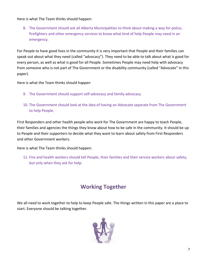Here is what The Team thinks should happen:

8. The Government should ask all Alberta Municipalities to think about making a way for police, firefighters and other emergency services to know what kind of help People may need in an emergency.

For People to have good lives in the community it is very important that People and their families can speak out about what they need (called "advocacy"). They need to be able to talk about what is good for every person, as well as what is good for all People. Sometimes People may need help with advocacy from someone who is not part of The Government or the disability community (called "Advocate" in this paper).

Here is what the Team thinks should happen

- 9. The Government should support self-advocacy and family-advocacy.
- 10. The Government should look at the idea of having an Advocate separate from The Government to help People.

First Responders and other health people who work for The Government are happy to teach People, their families and agencies the things they know about how to be safe in the community. It should be up to People and their supporters to decide what they want to learn about safety from First Responders and other Government workers.

Here is what The Team thinks should happen:

11. Fire and health workers should tell People, their families and their service workers about safety, but only when they ask for help.

# **Working Together**

We all need to work together to help to keep People safe. The things written in this paper are a place to start. Everyone should be talking together.